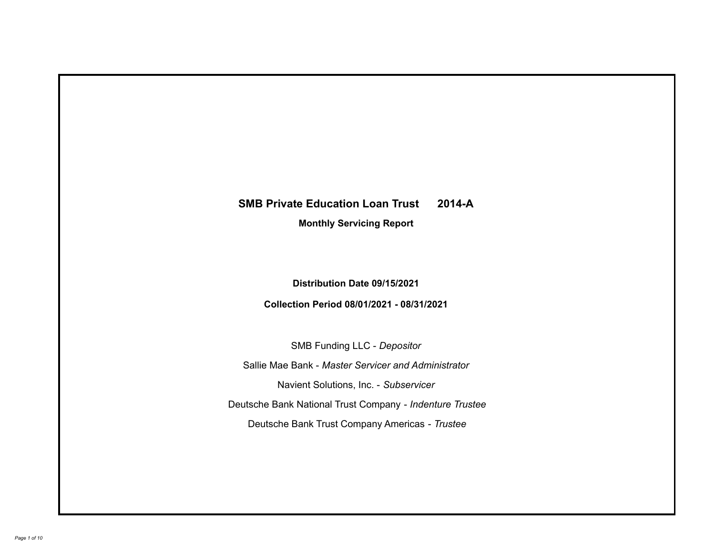# **SMB Private Education Loan Trust 2014-A**

**Monthly Servicing Report**

**Distribution Date 09/15/2021**

**Collection Period 08/01/2021 - 08/31/2021**

SMB Funding LLC - *Depositor*

Sallie Mae Bank - *Master Servicer and Administrator*

Navient Solutions, Inc. - *Subservicer*

Deutsche Bank National Trust Company - *Indenture Trustee*

Deutsche Bank Trust Company Americas - *Trustee*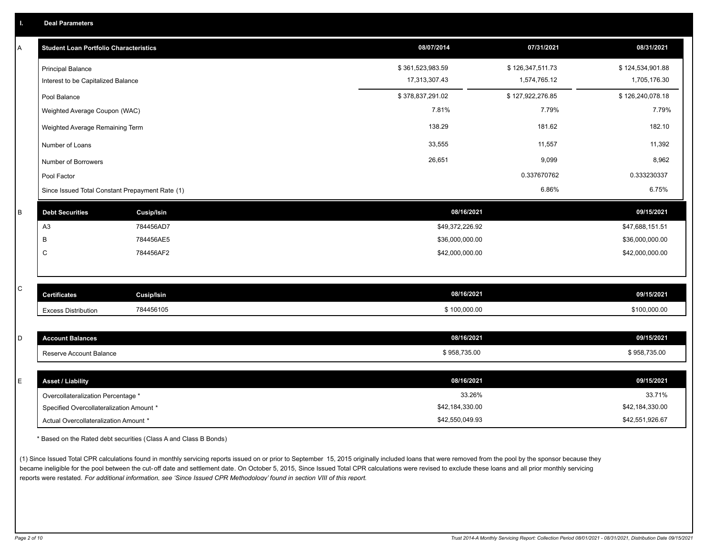| Α | <b>Student Loan Portfolio Characteristics</b>                  |                   | 08/07/2014                        | 07/31/2021                       | 08/31/2021                       |
|---|----------------------------------------------------------------|-------------------|-----------------------------------|----------------------------------|----------------------------------|
|   | <b>Principal Balance</b><br>Interest to be Capitalized Balance |                   | \$361,523,983.59<br>17,313,307.43 | \$126,347,511.73<br>1,574,765.12 | \$124,534,901.88<br>1,705,176.30 |
|   |                                                                |                   | \$378,837,291.02                  | \$127,922,276.85                 | \$126,240,078.18                 |
|   | Pool Balance                                                   |                   | 7.81%                             | 7.79%                            | 7.79%                            |
|   | Weighted Average Coupon (WAC)                                  |                   |                                   |                                  |                                  |
|   | Weighted Average Remaining Term                                |                   | 138.29                            | 181.62                           | 182.10                           |
|   | Number of Loans                                                |                   | 33,555                            | 11,557                           | 11,392                           |
|   | Number of Borrowers                                            |                   | 26,651                            | 9,099                            | 8,962                            |
|   | Pool Factor                                                    |                   |                                   | 0.337670762                      | 0.333230337                      |
|   | Since Issued Total Constant Prepayment Rate (1)                |                   |                                   | 6.86%                            | 6.75%                            |
| B | <b>Debt Securities</b>                                         | Cusip/Isin        | 08/16/2021                        |                                  | 09/15/2021                       |
|   | A <sub>3</sub>                                                 | 784456AD7         | \$49,372,226.92                   |                                  | \$47,688,151.51                  |
|   | B                                                              | 784456AE5         | \$36,000,000.00                   |                                  | \$36,000,000.00                  |
|   | C                                                              | 784456AF2         | \$42,000,000.00                   |                                  | \$42,000,000.00                  |
|   |                                                                |                   |                                   |                                  |                                  |
| C | <b>Certificates</b>                                            | <b>Cusip/Isin</b> | 08/16/2021                        |                                  | 09/15/2021                       |
|   | <b>Excess Distribution</b>                                     | 784456105         | \$100,000.00                      |                                  | \$100,000.00                     |
|   |                                                                |                   |                                   |                                  |                                  |
| D | <b>Account Balances</b>                                        |                   | 08/16/2021                        |                                  | 09/15/2021                       |
|   | Reserve Account Balance                                        |                   | \$958,735.00                      |                                  | \$958,735.00                     |
|   |                                                                |                   |                                   |                                  |                                  |
| E | <b>Asset / Liability</b>                                       |                   | 08/16/2021                        |                                  | 09/15/2021                       |
|   | Overcollateralization Percentage *                             |                   | 33.26%                            |                                  | 33.71%                           |
|   | Specified Overcollateralization Amount *                       |                   | \$42,184,330.00                   |                                  | \$42,184,330.00                  |

\* Based on the Rated debt securities (Class A and Class B Bonds)

(1) Since Issued Total CPR calculations found in monthly servicing reports issued on or prior to September 15, 2015 originally included loans that were removed from the pool by the sponsor because they became ineligible for the pool between the cut-off date and settlement date. On October 5, 2015, Since Issued Total CPR calculations were revised to exclude these loans and all prior monthly servicing reports were restated. *For additional information, see 'Since Issued CPR Methodology' found in section VIII of this report.*

Actual Overcollateralization Amount \* \$42,550,049.93

\$42,551,926.67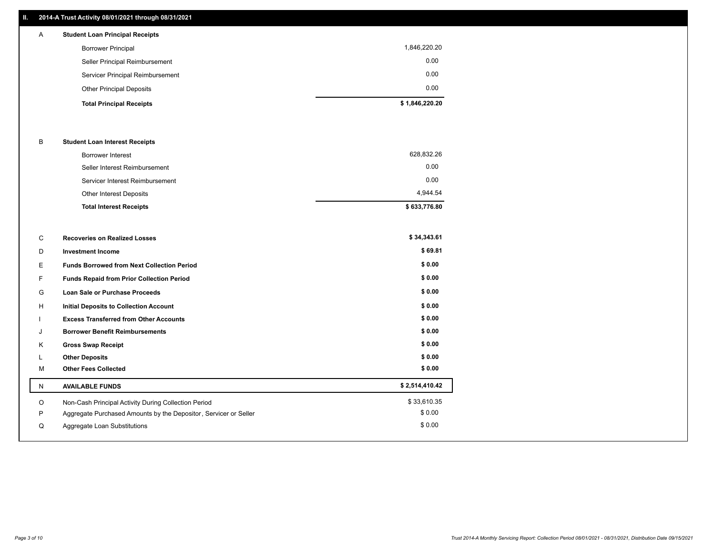### **II. 2014-A Trust Activity 08/01/2021 through 08/31/2021**

| $\mathsf{A}$ | <b>Student Loan Principal Receipts</b> |                |
|--------------|----------------------------------------|----------------|
|              | <b>Borrower Principal</b>              | 1,846,220.20   |
|              | Seller Principal Reimbursement         | 0.00           |
|              | Servicer Principal Reimbursement       | 0.00           |
|              | <b>Other Principal Deposits</b>        | 0.00           |
|              | <b>Total Principal Receipts</b>        | \$1,846,220.20 |

#### B **Student Loan Interest Receipts**

| <b>Total Interest Receipts</b>  | \$633,776.80 |
|---------------------------------|--------------|
| <b>Other Interest Deposits</b>  | 4.944.54     |
| Servicer Interest Reimbursement | 0.00         |
| Seller Interest Reimbursement   | 0.00         |
| <b>Borrower Interest</b>        | 628,832.26   |

| С  | <b>Recoveries on Realized Losses</b>                             | \$34,343.61    |
|----|------------------------------------------------------------------|----------------|
| D  | <b>Investment Income</b>                                         | \$69.81        |
| E  | <b>Funds Borrowed from Next Collection Period</b>                | \$0.00         |
| F. | Funds Repaid from Prior Collection Period                        | \$0.00         |
| G  | <b>Loan Sale or Purchase Proceeds</b>                            | \$0.00         |
| н  | <b>Initial Deposits to Collection Account</b>                    | \$0.00         |
|    | <b>Excess Transferred from Other Accounts</b>                    | \$0.00         |
| J  | <b>Borrower Benefit Reimbursements</b>                           | \$0.00         |
| Κ  | <b>Gross Swap Receipt</b>                                        | \$0.00         |
| L  | <b>Other Deposits</b>                                            | \$0.00         |
| M  | <b>Other Fees Collected</b>                                      | \$0.00         |
| N  | <b>AVAILABLE FUNDS</b>                                           | \$2,514,410.42 |
| O  | Non-Cash Principal Activity During Collection Period             | \$33,610.35    |
| P  | Aggregate Purchased Amounts by the Depositor, Servicer or Seller | \$0.00         |
| Q  | Aggregate Loan Substitutions                                     | \$0.00         |
|    |                                                                  |                |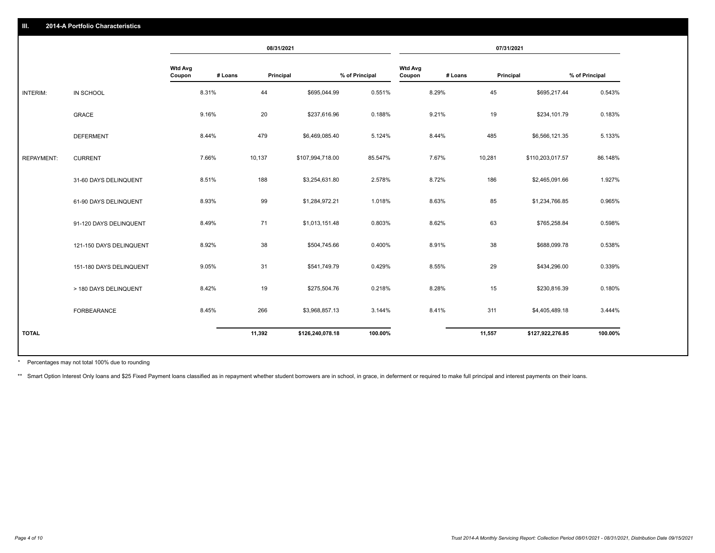|                   |                         | 08/31/2021               |         | 07/31/2021 |                  |                |                          |         |           |                  |                |
|-------------------|-------------------------|--------------------------|---------|------------|------------------|----------------|--------------------------|---------|-----------|------------------|----------------|
|                   |                         | <b>Wtd Avg</b><br>Coupon | # Loans | Principal  |                  | % of Principal | <b>Wtd Avg</b><br>Coupon | # Loans | Principal |                  | % of Principal |
| INTERIM:          | IN SCHOOL               |                          | 8.31%   | 44         | \$695,044.99     | 0.551%         |                          | 8.29%   | 45        | \$695,217.44     | 0.543%         |
|                   | <b>GRACE</b>            |                          | 9.16%   | 20         | \$237,616.96     | 0.188%         |                          | 9.21%   | 19        | \$234,101.79     | 0.183%         |
|                   | <b>DEFERMENT</b>        |                          | 8.44%   | 479        | \$6,469,085.40   | 5.124%         |                          | 8.44%   | 485       | \$6,566,121.35   | 5.133%         |
| <b>REPAYMENT:</b> | <b>CURRENT</b>          |                          | 7.66%   | 10,137     | \$107,994,718.00 | 85.547%        |                          | 7.67%   | 10,281    | \$110,203,017.57 | 86.148%        |
|                   | 31-60 DAYS DELINQUENT   |                          | 8.51%   | 188        | \$3,254,631.80   | 2.578%         |                          | 8.72%   | 186       | \$2,465,091.66   | 1.927%         |
|                   | 61-90 DAYS DELINQUENT   |                          | 8.93%   | 99         | \$1,284,972.21   | 1.018%         |                          | 8.63%   | 85        | \$1,234,766.85   | 0.965%         |
|                   | 91-120 DAYS DELINQUENT  |                          | 8.49%   | 71         | \$1,013,151.48   | 0.803%         |                          | 8.62%   | 63        | \$765,258.84     | 0.598%         |
|                   | 121-150 DAYS DELINQUENT |                          | 8.92%   | 38         | \$504,745.66     | 0.400%         |                          | 8.91%   | 38        | \$688,099.78     | 0.538%         |
|                   | 151-180 DAYS DELINQUENT |                          | 9.05%   | 31         | \$541,749.79     | 0.429%         |                          | 8.55%   | 29        | \$434,296.00     | 0.339%         |
|                   | > 180 DAYS DELINQUENT   |                          | 8.42%   | 19         | \$275,504.76     | 0.218%         |                          | 8.28%   | 15        | \$230,816.39     | 0.180%         |
|                   | FORBEARANCE             |                          | 8.45%   | 266        | \$3,968,857.13   | 3.144%         |                          | 8.41%   | 311       | \$4,405,489.18   | 3.444%         |
| <b>TOTAL</b>      |                         |                          |         | 11,392     | \$126,240,078.18 | 100.00%        |                          |         | 11,557    | \$127,922,276.85 | 100.00%        |
|                   |                         |                          |         |            |                  |                |                          |         |           |                  |                |

Percentages may not total 100% due to rounding \*

\*\* Smart Option Interest Only loans and \$25 Fixed Payment loans classified as in repayment whether student borrowers are in school, in grace, in deferment or required to make full principal and interest payments on their l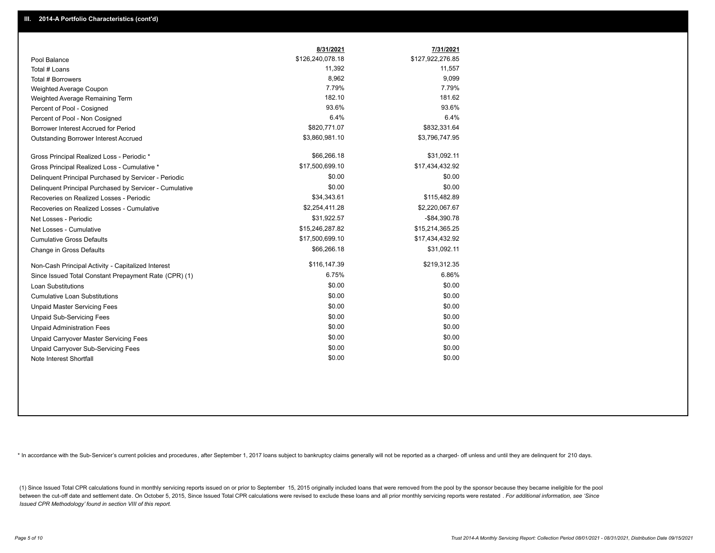|                                                         | 8/31/2021        | 7/31/2021        |
|---------------------------------------------------------|------------------|------------------|
| Pool Balance                                            | \$126,240,078.18 | \$127,922,276.85 |
| Total # Loans                                           | 11,392           | 11,557           |
| Total # Borrowers                                       | 8,962            | 9,099            |
| Weighted Average Coupon                                 | 7.79%            | 7.79%            |
| Weighted Average Remaining Term                         | 182.10           | 181.62           |
| Percent of Pool - Cosigned                              | 93.6%            | 93.6%            |
| Percent of Pool - Non Cosigned                          | 6.4%             | 6.4%             |
| Borrower Interest Accrued for Period                    | \$820,771.07     | \$832,331.64     |
| Outstanding Borrower Interest Accrued                   | \$3,860,981.10   | \$3,796,747.95   |
| Gross Principal Realized Loss - Periodic *              | \$66,266.18      | \$31,092.11      |
| Gross Principal Realized Loss - Cumulative *            | \$17,500,699.10  | \$17,434,432.92  |
| Delinquent Principal Purchased by Servicer - Periodic   | \$0.00           | \$0.00           |
| Delinguent Principal Purchased by Servicer - Cumulative | \$0.00           | \$0.00           |
| Recoveries on Realized Losses - Periodic                | \$34,343.61      | \$115,482.89     |
| Recoveries on Realized Losses - Cumulative              | \$2,254,411.28   | \$2,220,067.67   |
| Net Losses - Periodic                                   | \$31,922.57      | $-$ \$84,390.78  |
| Net Losses - Cumulative                                 | \$15,246,287.82  | \$15,214,365.25  |
| <b>Cumulative Gross Defaults</b>                        | \$17,500,699.10  | \$17,434,432.92  |
| Change in Gross Defaults                                | \$66,266.18      | \$31,092.11      |
| Non-Cash Principal Activity - Capitalized Interest      | \$116,147.39     | \$219,312.35     |
| Since Issued Total Constant Prepayment Rate (CPR) (1)   | 6.75%            | 6.86%            |
| <b>Loan Substitutions</b>                               | \$0.00           | \$0.00           |
| <b>Cumulative Loan Substitutions</b>                    | \$0.00           | \$0.00           |
| <b>Unpaid Master Servicing Fees</b>                     | \$0.00           | \$0.00           |
| <b>Unpaid Sub-Servicing Fees</b>                        | \$0.00           | \$0.00           |
| <b>Unpaid Administration Fees</b>                       | \$0.00           | \$0.00           |
| Unpaid Carryover Master Servicing Fees                  | \$0.00           | \$0.00           |
| Unpaid Carryover Sub-Servicing Fees                     | \$0.00           | \$0.00           |
| Note Interest Shortfall                                 | \$0.00           | \$0.00           |

\* In accordance with the Sub-Servicer's current policies and procedures, after September 1, 2017 loans subject to bankruptcy claims generally will not be reported as a charged- off unless and until they are delinquent for

(1) Since Issued Total CPR calculations found in monthly servicing reports issued on or prior to September 15, 2015 originally included loans that were removed from the pool by the sponsor because they became ineligible fo between the cut-off date and settlement date. On October 5, 2015, Since Issued Total CPR calculations were revised to exclude these loans and all prior monthly servicing reports were restated . For additional information, *Issued CPR Methodology' found in section VIII of this report.*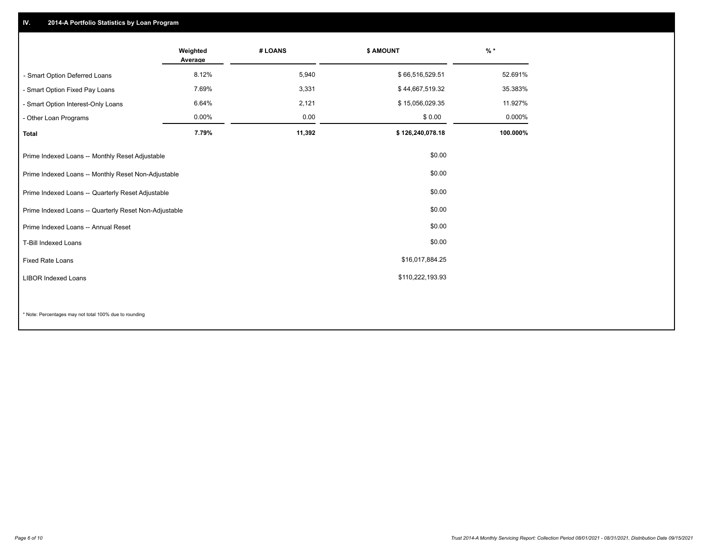## **IV. 2014-A Portfolio Statistics by Loan Program**

|                                                       | Weighted<br>Average | # LOANS | <b>\$ AMOUNT</b> | $%$ *    |
|-------------------------------------------------------|---------------------|---------|------------------|----------|
| - Smart Option Deferred Loans                         | 8.12%               | 5,940   | \$66,516,529.51  | 52.691%  |
| - Smart Option Fixed Pay Loans                        | 7.69%               | 3,331   | \$44,667,519.32  | 35.383%  |
| - Smart Option Interest-Only Loans                    | 6.64%               | 2,121   | \$15,056,029.35  | 11.927%  |
| - Other Loan Programs                                 | 0.00%               | 0.00    | \$0.00           | 0.000%   |
| <b>Total</b>                                          | 7.79%               | 11,392  | \$126,240,078.18 | 100.000% |
| Prime Indexed Loans -- Monthly Reset Adjustable       |                     |         | \$0.00           |          |
| Prime Indexed Loans -- Monthly Reset Non-Adjustable   |                     |         | \$0.00           |          |
| Prime Indexed Loans -- Quarterly Reset Adjustable     |                     |         | \$0.00           |          |
| Prime Indexed Loans -- Quarterly Reset Non-Adjustable |                     |         | \$0.00           |          |
| Prime Indexed Loans -- Annual Reset                   |                     |         | \$0.00           |          |
| T-Bill Indexed Loans                                  |                     |         | \$0.00           |          |
| <b>Fixed Rate Loans</b>                               |                     |         | \$16,017,884.25  |          |
| <b>LIBOR Indexed Loans</b>                            |                     |         | \$110,222,193.93 |          |
|                                                       |                     |         |                  |          |

\* Note: Percentages may not total 100% due to rounding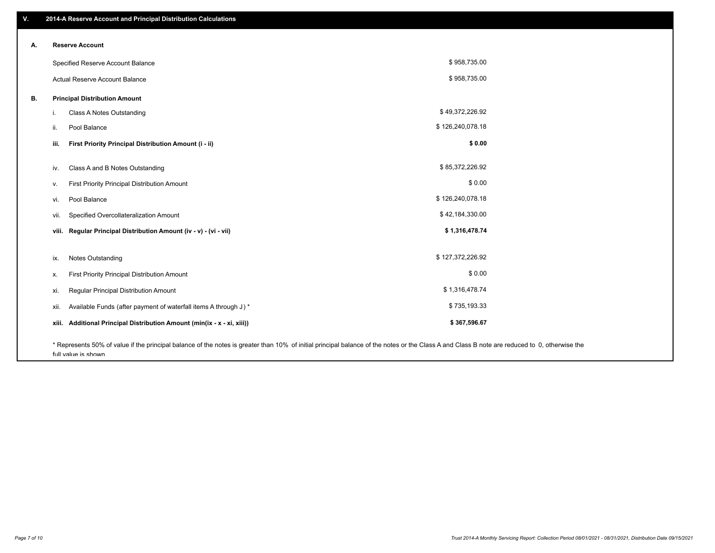| ۷. | 2014-A Reserve Account and Principal Distribution Calculations                                                                                                                                |                  |  |
|----|-----------------------------------------------------------------------------------------------------------------------------------------------------------------------------------------------|------------------|--|
|    | <b>Reserve Account</b>                                                                                                                                                                        |                  |  |
| А. |                                                                                                                                                                                               |                  |  |
|    | Specified Reserve Account Balance                                                                                                                                                             | \$958,735.00     |  |
|    | Actual Reserve Account Balance                                                                                                                                                                | \$958,735.00     |  |
| В. | <b>Principal Distribution Amount</b>                                                                                                                                                          |                  |  |
|    | Class A Notes Outstanding<br>i.                                                                                                                                                               | \$49,372,226.92  |  |
|    | Pool Balance<br>ii.                                                                                                                                                                           | \$126,240,078.18 |  |
|    | First Priority Principal Distribution Amount (i - ii)<br>iii.                                                                                                                                 | \$0.00           |  |
|    | Class A and B Notes Outstanding<br>iv.                                                                                                                                                        | \$85,372,226.92  |  |
|    | First Priority Principal Distribution Amount<br>v.                                                                                                                                            | \$0.00           |  |
|    | Pool Balance<br>vi.                                                                                                                                                                           | \$126,240,078.18 |  |
|    | Specified Overcollateralization Amount<br>vii.                                                                                                                                                | \$42,184,330.00  |  |
|    | Regular Principal Distribution Amount (iv - v) - (vi - vii)<br>viii.                                                                                                                          | \$1,316,478.74   |  |
|    | <b>Notes Outstanding</b><br>ix.                                                                                                                                                               | \$127,372,226.92 |  |
|    | First Priority Principal Distribution Amount<br>х.                                                                                                                                            | \$0.00           |  |
|    |                                                                                                                                                                                               |                  |  |
|    | Regular Principal Distribution Amount<br>xi.                                                                                                                                                  | \$1,316,478.74   |  |
|    | Available Funds (after payment of waterfall items A through J) *<br>xii.                                                                                                                      | \$735,193.33     |  |
|    | Additional Principal Distribution Amount (min(ix - x - xi, xiii))<br>xiii.                                                                                                                    | \$367,596.67     |  |
|    | * Represents 50% of value if the principal balance of the notes is greater than 10% of initial principal balance of the notes or the Class A and Class B note are reduced to 0, otherwise the |                  |  |

full value is shown.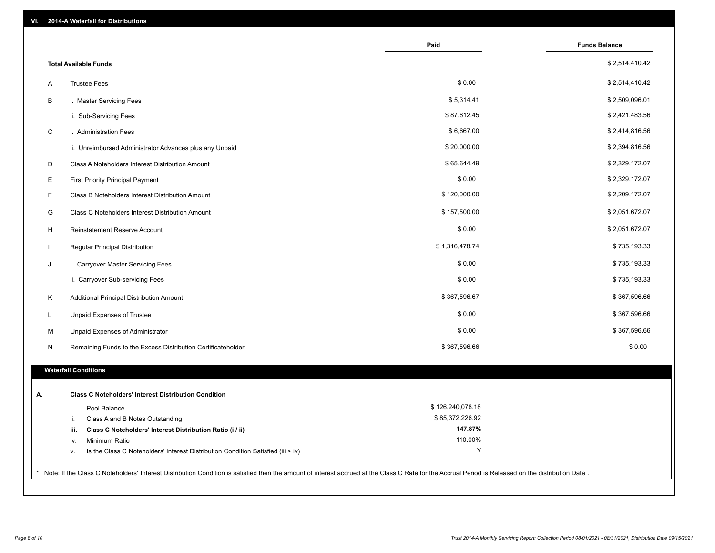| VI. | 2014-A Waterfall for Distributions                                                                                                                                                                    |                  |                      |
|-----|-------------------------------------------------------------------------------------------------------------------------------------------------------------------------------------------------------|------------------|----------------------|
|     |                                                                                                                                                                                                       | Paid             | <b>Funds Balance</b> |
|     | <b>Total Available Funds</b>                                                                                                                                                                          |                  | \$2,514,410.42       |
| Α   | <b>Trustee Fees</b>                                                                                                                                                                                   | \$0.00           | \$2,514,410.42       |
| В   | i. Master Servicing Fees                                                                                                                                                                              | \$5,314.41       | \$2,509,096.01       |
|     | ii. Sub-Servicing Fees                                                                                                                                                                                | \$87,612.45      | \$2,421,483.56       |
| C   | i. Administration Fees                                                                                                                                                                                | \$6,667.00       | \$2,414,816.56       |
|     | ii. Unreimbursed Administrator Advances plus any Unpaid                                                                                                                                               | \$20,000.00      | \$2,394,816.56       |
| D   | Class A Noteholders Interest Distribution Amount                                                                                                                                                      | \$65,644.49      | \$2,329,172.07       |
| E   | <b>First Priority Principal Payment</b>                                                                                                                                                               | \$0.00           | \$2,329,172.07       |
| F   | Class B Noteholders Interest Distribution Amount                                                                                                                                                      | \$120,000.00     | \$2,209,172.07       |
| G   | Class C Noteholders Interest Distribution Amount                                                                                                                                                      | \$157,500.00     | \$2,051,672.07       |
| H   | Reinstatement Reserve Account                                                                                                                                                                         | \$0.00           | \$2,051,672.07       |
|     | Regular Principal Distribution                                                                                                                                                                        | \$1,316,478.74   | \$735,193.33         |
| J   | i. Carryover Master Servicing Fees                                                                                                                                                                    | \$0.00           | \$735,193.33         |
|     | ii. Carryover Sub-servicing Fees                                                                                                                                                                      | \$0.00           | \$735,193.33         |
| Κ   | Additional Principal Distribution Amount                                                                                                                                                              | \$367,596.67     | \$367,596.66         |
| L   | Unpaid Expenses of Trustee                                                                                                                                                                            | \$0.00           | \$367,596.66         |
| М   | Unpaid Expenses of Administrator                                                                                                                                                                      | \$0.00           | \$367,596.66         |
| N   | Remaining Funds to the Excess Distribution Certificateholder                                                                                                                                          | \$367,596.66     | \$0.00               |
|     | <b>Waterfall Conditions</b>                                                                                                                                                                           |                  |                      |
|     |                                                                                                                                                                                                       |                  |                      |
| А.  | <b>Class C Noteholders' Interest Distribution Condition</b>                                                                                                                                           |                  |                      |
|     | Pool Balance<br>i.                                                                                                                                                                                    | \$126,240,078.18 |                      |
|     | Class A and B Notes Outstanding<br>ii.                                                                                                                                                                | \$85,372,226.92  |                      |
|     | Class C Noteholders' Interest Distribution Ratio (i / ii)<br>iii.                                                                                                                                     | 147.87%          |                      |
|     | Minimum Ratio<br>iv.                                                                                                                                                                                  | 110.00%          |                      |
|     | Is the Class C Noteholders' Interest Distribution Condition Satisfied (iii > iv)<br>v.                                                                                                                | Y                |                      |
|     | * Note: If the Class C Noteholders' Interest Distribution Condition is satisfied then the amount of interest accrued at the Class C Rate for the Accrual Period is Released on the distribution Date. |                  |                      |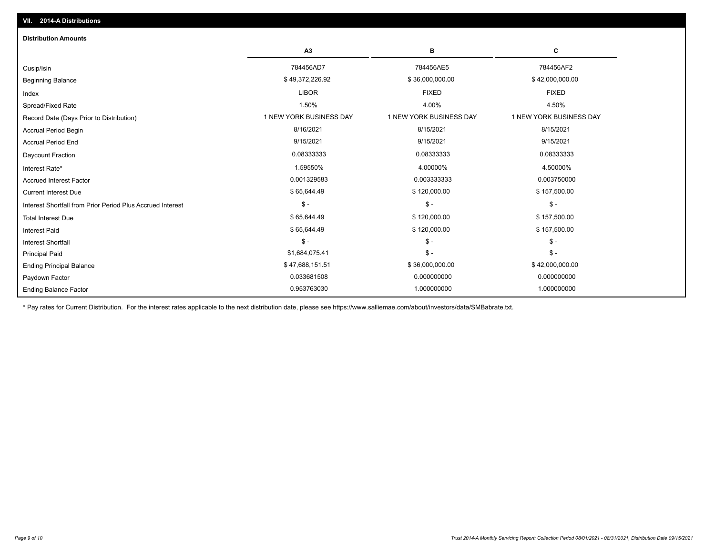| <b>Distribution Amounts</b>                                |                         |                         |                         |
|------------------------------------------------------------|-------------------------|-------------------------|-------------------------|
|                                                            | A3                      | в                       | С                       |
| Cusip/Isin                                                 | 784456AD7               | 784456AE5               | 784456AF2               |
| <b>Beginning Balance</b>                                   | \$49,372,226.92         | \$36,000,000.00         | \$42,000,000.00         |
| Index                                                      | <b>LIBOR</b>            | <b>FIXED</b>            | <b>FIXED</b>            |
| Spread/Fixed Rate                                          | 1.50%                   | 4.00%                   | 4.50%                   |
| Record Date (Days Prior to Distribution)                   | 1 NEW YORK BUSINESS DAY | 1 NEW YORK BUSINESS DAY | 1 NEW YORK BUSINESS DAY |
| <b>Accrual Period Begin</b>                                | 8/16/2021               | 8/15/2021               | 8/15/2021               |
| <b>Accrual Period End</b>                                  | 9/15/2021               | 9/15/2021               | 9/15/2021               |
| Daycount Fraction                                          | 0.08333333              | 0.08333333              | 0.08333333              |
| Interest Rate*                                             | 1.59550%                | 4.00000%                | 4.50000%                |
| <b>Accrued Interest Factor</b>                             | 0.001329583             | 0.003333333             | 0.003750000             |
| <b>Current Interest Due</b>                                | \$65,644.49             | \$120,000.00            | \$157,500.00            |
| Interest Shortfall from Prior Period Plus Accrued Interest | $$ -$                   | $\mathcal{S}$ -         | $\mathsf{\$}$ -         |
| <b>Total Interest Due</b>                                  | \$65,644.49             | \$120,000.00            | \$157,500.00            |
| <b>Interest Paid</b>                                       | \$65,644.49             | \$120,000.00            | \$157,500.00            |
| Interest Shortfall                                         | $$ -$                   | $$ -$                   | $\mathsf{\$}$ -         |
| <b>Principal Paid</b>                                      | \$1,684,075.41          | $$ -$                   | $\mathsf{\$}$ -         |
| <b>Ending Principal Balance</b>                            | \$47,688,151.51         | \$36,000,000.00         | \$42,000,000.00         |
| Paydown Factor                                             | 0.033681508             | 0.000000000             | 0.000000000             |
| <b>Ending Balance Factor</b>                               | 0.953763030             | 1.000000000             | 1.000000000             |

\* Pay rates for Current Distribution. For the interest rates applicable to the next distribution date, please see https://www.salliemae.com/about/investors/data/SMBabrate.txt.

**VII. 2014-A Distributions**